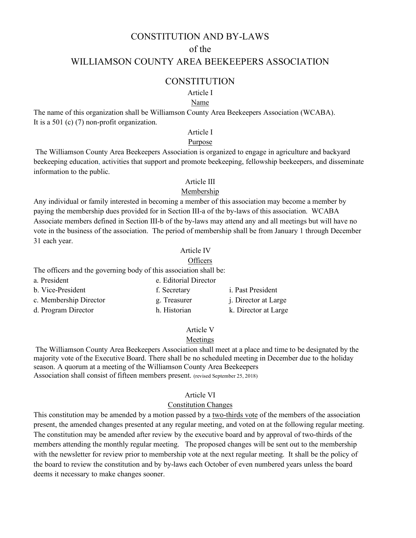## CONSTITUTION AND BY-LAWS

## of the

## WILLIAMSON COUNTY AREA BEEKEEPERS ASSOCIATION

### **CONSTITUTION**

### Article I

#### Name

The name of this organization shall be Williamson County Area Beekeepers Association (WCABA). It is a 501 (c) (7) non-profit organization.

#### Article I

#### Purpose

The Williamson County Area Beekeepers Association is organized to engage in agriculture and backyard beekeeping education, activities that support and promote beekeeping, fellowship beekeepers, and disseminate information to the public.

### Article III

### Membership

Any individual or family interested in becoming a member of this association may become a member by paying the membership dues provided for in Section III-a of the by-laws of this association. WCABA Associate members defined in Section III-b of the by-laws may attend any and all meetings but will have no vote in the business of the association. The period of membership shall be from January 1 through December 31 each year.

### Article IV

#### **Officers**

The officers and the governing body of this association shall be:

| a. President           | e. Editorial Director |                             |
|------------------------|-----------------------|-----------------------------|
| b. Vice-President      | f. Secretary          | <i>i.</i> Past President    |
| c. Membership Director | g. Treasurer          | <i>i.</i> Director at Large |
| d. Program Director    | h. Historian          | k. Director at Large        |

#### Article V

#### Meetings

The Williamson County Area Beekeepers Association shall meet at a place and time to be designated by the majority vote of the Executive Board. There shall be no scheduled meeting in December due to the holiday season. A quorum at a meeting of the Williamson County Area Beekeepers Association shall consist of fifteen members present. (revised September 25, 2018)

#### Article VI

#### Constitution Changes

This constitution may be amended by a motion passed by a two-thirds vote of the members of the association present, the amended changes presented at any regular meeting, and voted on at the following regular meeting. The constitution may be amended after review by the executive board and by approval of two-thirds of the members attending the monthly regular meeting. The proposed changes will be sent out to the membership with the newsletter for review prior to membership vote at the next regular meeting. It shall be the policy of the board to review the constitution and by by-laws each October of even numbered years unless the board deems it necessary to make changes sooner.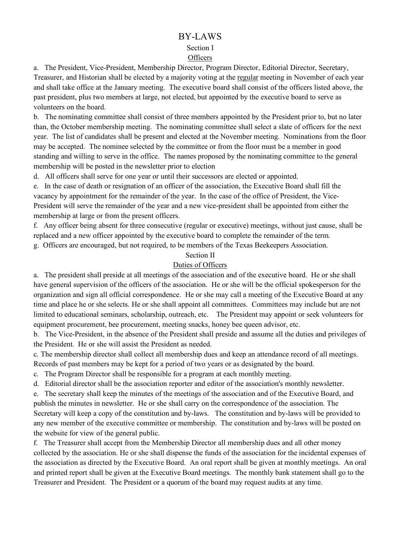# BY-LAWS

## Section I

## **Officers**

a. The President, Vice-President, Membership Director, Program Director, Editorial Director, Secretary, Treasurer, and Historian shall be elected by a majority voting at the regular meeting in November of each year and shall take office at the January meeting. The executive board shall consist of the officers listed above, the past president, plus two members at large, not elected, but appointed by the executive board to serve as volunteers on the board.

b. The nominating committee shall consist of three members appointed by the President prior to, but no later than, the October membership meeting. The nominating committee shall select a slate of officers for the next year. The list of candidates shall be present and elected at the November meeting. Nominations from the floor may be accepted. The nominee selected by the committee or from the floor must be a member in good standing and willing to serve in the office. The names proposed by the nominating committee to the general membership will be posted in the newsletter prior to election

d. All officers shall serve for one year or until their successors are elected or appointed.

e. In the case of death or resignation of an officer of the association, the Executive Board shall fill the vacancy by appointment for the remainder of the year. In the case of the office of President, the Vice-President will serve the remainder of the year and a new vice-president shall be appointed from either the membership at large or from the present officers.

f. Any officer being absent for three consecutive (regular or executive) meetings, without just cause, shall be replaced and a new officer appointed by the executive board to complete the remainder of the term.

g. Officers are encouraged, but not required, to be members of the Texas Beekeepers Association.

# Section II

# Duties of Officers

a. The president shall preside at all meetings of the association and of the executive board. He or she shall have general supervision of the officers of the association. He or she will be the official spokesperson for the organization and sign all official correspondence. He or she may call a meeting of the Executive Board at any time and place he or she selects. He or she shall appoint all committees. Committees may include but are not limited to educational seminars, scholarship, outreach, etc. The President may appoint or seek volunteers for equipment procurement, bee procurement, meeting snacks, honey bee queen advisor, etc.

b. The Vice-President, in the absence of the President shall preside and assume all the duties and privileges of the President. He or she will assist the President as needed.

c. The membership director shall collect all membership dues and keep an attendance record of all meetings. Records of past members may be kept for a period of two years or as designated by the board.

c. The Program Director shall be responsible for a program at each monthly meeting.

d. Editorial director shall be the association reporter and editor of the association's monthly newsletter.

e. The secretary shall keep the minutes of the meetings of the association and of the Executive Board, and publish the minutes in newsletter. He or she shall carry on the correspondence of the association. The Secretary will keep a copy of the constitution and by-laws. The constitution and by-laws will be provided to any new member of the executive committee or membership. The constitution and by-laws will be posted on the website for view of the general public.

f. The Treasurer shall accept from the Membership Director all membership dues and all other money collected by the association. He or she shall dispense the funds of the association for the incidental expenses of the association as directed by the Executive Board. An oral report shall be given at monthly meetings. An oral and printed report shall be given at the Executive Board meetings. The monthly bank statement shall go to the Treasurer and President. The President or a quorum of the board may request audits at any time.